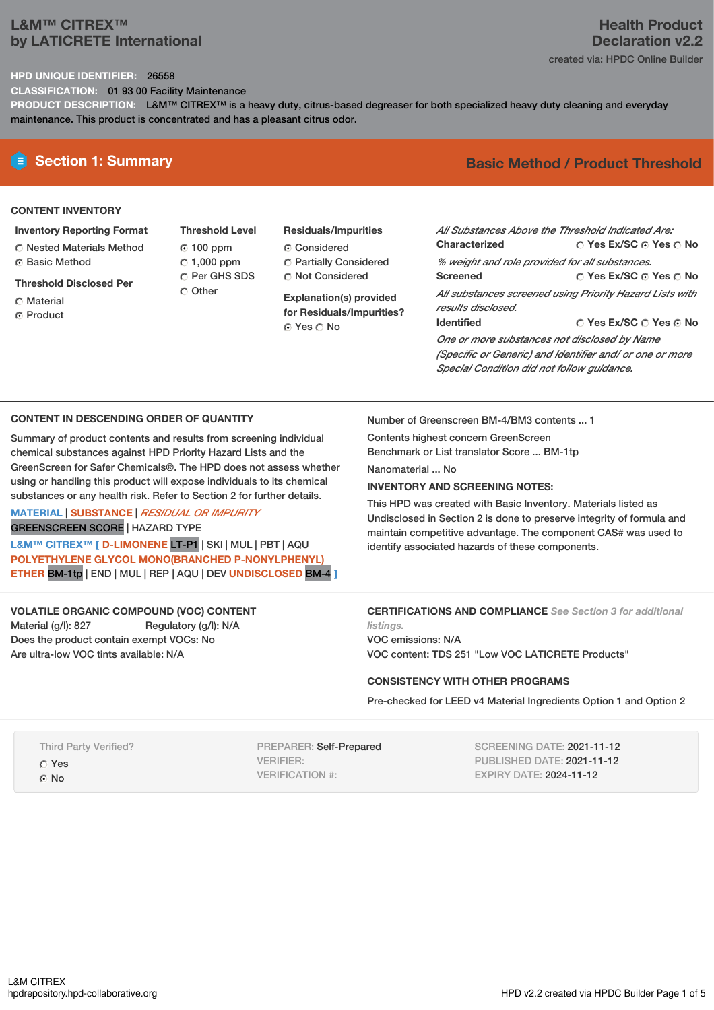# **L&M™ CITREX™ by LATICRETE International**

## **Health Product Declaration v2.2** created via: HPDC Online Builder

## **HPD UNIQUE IDENTIFIER:** 26558

**CLASSIFICATION:** 01 93 00 Facility Maintenance

**PRODUCT DESCRIPTION:** L&M™ CITREX™ is a heavy duty, citrus-based degreaser for both specialized heavy duty cleaning and everyday maintenance. This product is concentrated and has a pleasant citrus odor.

## **CONTENT INVENTORY**

- **Inventory Reporting Format**
- Nested Materials Method **G** Basic Method
- **Threshold Disclosed Per**
- Material
- ⊙ Product
- **Threshold Level** 100 ppm  $\degree$  1,000 ppm C Per GHS SDS Other
- **Residuals/Impurities** Considered Partially Considered Not Considered

**Explanation(s) provided for Residuals/Impurities?** © Yes ∩ No

# **E** Section 1: Summary **Basic** Method / Product Threshold

| All Substances Above the Threshold Indicated Are:        |                        |  |  |
|----------------------------------------------------------|------------------------|--|--|
| Characterized                                            | ○ Yes Ex/SC ⊙ Yes ○ No |  |  |
| % weight and role provided for all substances.           |                        |  |  |
| <b>Screened</b>                                          | ∩ Yes Ex/SC ∩ Yes ∩ No |  |  |
| All substances screened using Priority Hazard Lists with |                        |  |  |
| results disclosed.                                       |                        |  |  |
| <b>Identified</b>                                        | ∩ Yes Ex/SC ∩ Yes ∩ No |  |  |
| One or more substances not disclosed by Name             |                        |  |  |

*(Specific or Generic) and Identifier and/ or one or more Special Condition did not follow guidance.*

## **CONTENT IN DESCENDING ORDER OF QUANTITY**

Summary of product contents and results from screening individual chemical substances against HPD Priority Hazard Lists and the GreenScreen for Safer Chemicals®. The HPD does not assess whether using or handling this product will expose individuals to its chemical substances or any health risk. Refer to Section 2 for further details.

**MATERIAL** | **SUBSTANCE** | *RESIDUAL OR IMPURITY* GREENSCREEN SCORE | HAZARD TYPE

**L&M™ CITREX™ [ D-LIMONENE** LT-P1 | SKI | MUL | PBT | AQU **POLYETHYLENE GLYCOL MONO(BRANCHED P-NONYLPHENYL) ETHER** BM-1tp | END | MUL | REP | AQU | DEV **UNDISCLOSED** BM-4 **]**

### **VOLATILE ORGANIC COMPOUND (VOC) CONTENT**

Material (g/l): 827 Regulatory (g/l): N/A Does the product contain exempt VOCs: No Are ultra-low VOC tints available: N/A

Number of Greenscreen BM-4/BM3 contents ... 1

Contents highest concern GreenScreen Benchmark or List translator Score ... BM-1tp

Nanomaterial ... No

### **INVENTORY AND SCREENING NOTES:**

This HPD was created with Basic Inventory. Materials listed as Undisclosed in Section 2 is done to preserve integrity of formula and maintain competitive advantage. The component CAS# was used to identify associated hazards of these components.

## **CERTIFICATIONS AND COMPLIANCE** *See Section 3 for additional*

*listings.* VOC emissions: N/A VOC content: TDS 251 "Low VOC LATICRETE Products"

### **CONSISTENCY WITH OTHER PROGRAMS**

Pre-checked for LEED v4 Material Ingredients Option 1 and Option 2

Third Party Verified?

Yes

© No

PREPARER: Self-Prepared VERIFIER: VERIFICATION #:

SCREENING DATE: 2021-11-12 PUBLISHED DATE: 2021-11-12 EXPIRY DATE: 2024-11-12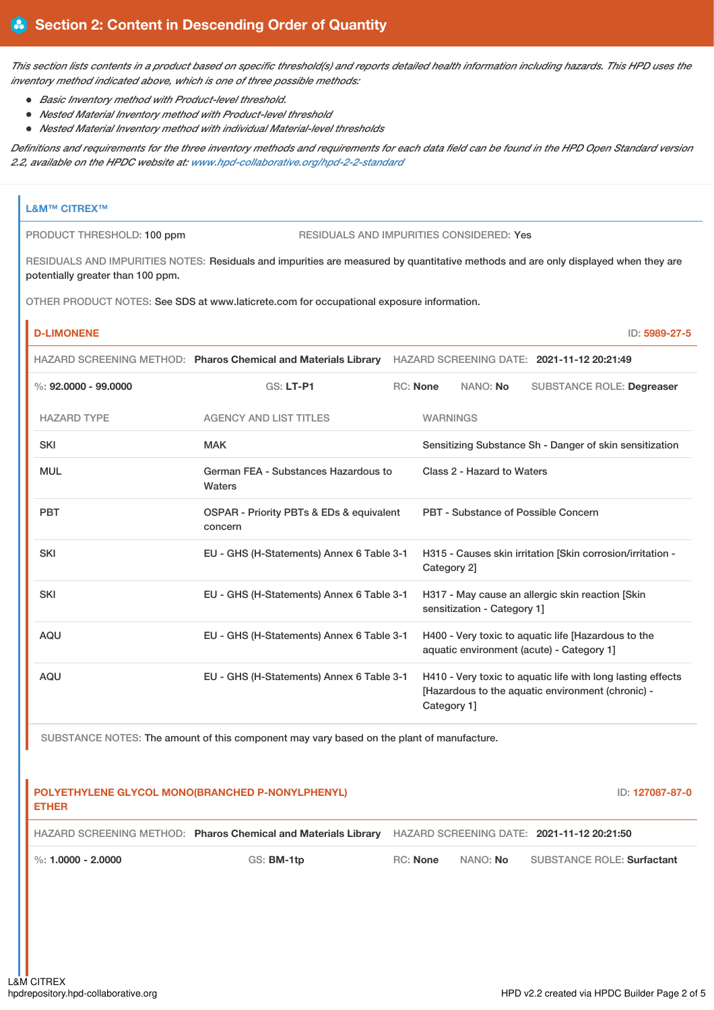This section lists contents in a product based on specific threshold(s) and reports detailed health information including hazards. This HPD uses the *inventory method indicated above, which is one of three possible methods:*

- *Basic Inventory method with Product-level threshold.*
- *Nested Material Inventory method with Product-level threshold*
- *Nested Material Inventory method with individual Material-level thresholds*

Definitions and requirements for the three inventory methods and requirements for each data field can be found in the HPD Open Standard version *2.2, available on the HPDC website at: [www.hpd-collaborative.org/hpd-2-2-standard](https://www.hpd-collaborative.org/hpd-2-2-standard)*

|                                                                                                                                                                         | <b>L&amp;M™ CITREX™</b>                                                |                                                                                                       |  |                                                                                                                                 |  |  |
|-------------------------------------------------------------------------------------------------------------------------------------------------------------------------|------------------------------------------------------------------------|-------------------------------------------------------------------------------------------------------|--|---------------------------------------------------------------------------------------------------------------------------------|--|--|
|                                                                                                                                                                         | RESIDUALS AND IMPURITIES CONSIDERED: Yes<br>PRODUCT THRESHOLD: 100 ppm |                                                                                                       |  |                                                                                                                                 |  |  |
| RESIDUALS AND IMPURITIES NOTES: Residuals and impurities are measured by quantitative methods and are only displayed when they are<br>potentially greater than 100 ppm. |                                                                        |                                                                                                       |  |                                                                                                                                 |  |  |
| OTHER PRODUCT NOTES: See SDS at www.laticrete.com for occupational exposure information.                                                                                |                                                                        |                                                                                                       |  |                                                                                                                                 |  |  |
|                                                                                                                                                                         | <b>D-LIMONENE</b>                                                      |                                                                                                       |  | ID: 5989-27-5                                                                                                                   |  |  |
|                                                                                                                                                                         |                                                                        |                                                                                                       |  | HAZARD SCREENING METHOD: Pharos Chemical and Materials Library HAZARD SCREENING DATE: 2021-11-12 20:21:49                       |  |  |
|                                                                                                                                                                         | $\%: 92,0000 - 99,0000$                                                | <b>GS: LT-P1</b>                                                                                      |  | <b>RC: None</b><br>NANO: No<br><b>SUBSTANCE ROLE: Degreaser</b>                                                                 |  |  |
|                                                                                                                                                                         | <b>HAZARD TYPE</b>                                                     | <b>AGENCY AND LIST TITLES</b>                                                                         |  | <b>WARNINGS</b>                                                                                                                 |  |  |
|                                                                                                                                                                         | <b>SKI</b>                                                             | <b>MAK</b>                                                                                            |  | Sensitizing Substance Sh - Danger of skin sensitization                                                                         |  |  |
|                                                                                                                                                                         | <b>MUL</b>                                                             | German FEA - Substances Hazardous to<br>Waters<br>OSPAR - Priority PBTs & EDs & equivalent<br>concern |  | Class 2 - Hazard to Waters                                                                                                      |  |  |
|                                                                                                                                                                         | <b>PBT</b>                                                             |                                                                                                       |  | PBT - Substance of Possible Concern                                                                                             |  |  |
|                                                                                                                                                                         | <b>SKI</b>                                                             | EU - GHS (H-Statements) Annex 6 Table 3-1                                                             |  | H315 - Causes skin irritation [Skin corrosion/irritation -<br>Category 2]                                                       |  |  |
|                                                                                                                                                                         | <b>SKI</b>                                                             | EU - GHS (H-Statements) Annex 6 Table 3-1                                                             |  | H317 - May cause an allergic skin reaction [Skin<br>sensitization - Category 1]                                                 |  |  |
|                                                                                                                                                                         | AQU                                                                    | EU - GHS (H-Statements) Annex 6 Table 3-1                                                             |  | H400 - Very toxic to aquatic life [Hazardous to the<br>aquatic environment (acute) - Category 1]                                |  |  |
|                                                                                                                                                                         | <b>AQU</b>                                                             | EU - GHS (H-Statements) Annex 6 Table 3-1                                                             |  | H410 - Very toxic to aquatic life with long lasting effects<br>[Hazardous to the aquatic environment (chronic) -<br>Category 1] |  |  |

SUBSTANCE NOTES: The amount of this component may vary based on the plant of manufacture.

| <b>ETHER</b>           | POLYETHYLENE GLYCOL MONO(BRANCHED P-NONYLPHENYL)                                                          |          |                 | ID: 127087-87-0                   |
|------------------------|-----------------------------------------------------------------------------------------------------------|----------|-----------------|-----------------------------------|
|                        | HAZARD SCREENING METHOD: Pharos Chemical and Materials Library HAZARD SCREENING DATE: 2021-11-12 20:21:50 |          |                 |                                   |
| $\%$ : 1.0000 - 2.0000 | GS: <b>BM-1tp</b>                                                                                         | RC: None | NANO: <b>No</b> | <b>SUBSTANCE ROLE: Surfactant</b> |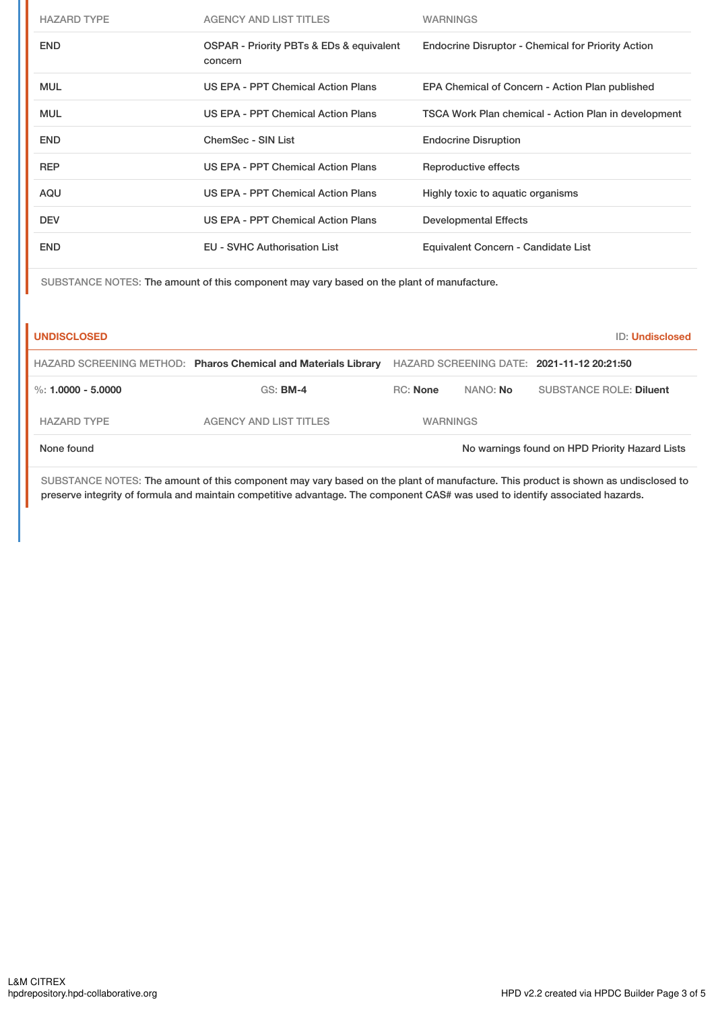| <b>HAZARD TYPE</b> | <b>AGENCY AND LIST TITLES</b>                       | <b>WARNINGS</b>                                           |
|--------------------|-----------------------------------------------------|-----------------------------------------------------------|
| <b>END</b>         | OSPAR - Priority PBTs & EDs & equivalent<br>concern | <b>Endocrine Disruptor - Chemical for Priority Action</b> |
| <b>MUL</b>         | US EPA - PPT Chemical Action Plans                  | EPA Chemical of Concern - Action Plan published           |
| <b>MUL</b>         | US EPA - PPT Chemical Action Plans                  | TSCA Work Plan chemical - Action Plan in development      |
| <b>END</b>         | ChemSec - SIN List                                  | <b>Endocrine Disruption</b>                               |
| <b>REP</b>         | US EPA - PPT Chemical Action Plans                  | Reproductive effects                                      |
| AQU                | US EPA - PPT Chemical Action Plans                  | Highly toxic to aquatic organisms                         |
| <b>DEV</b>         | US EPA - PPT Chemical Action Plans                  | <b>Developmental Effects</b>                              |
| <b>END</b>         | <b>EU - SVHC Authorisation List</b>                 | Equivalent Concern - Candidate List                       |

SUBSTANCE NOTES: The amount of this component may vary based on the plant of manufacture.

| <b>UNDISCLOSED</b>   |                                                                |                 |          | ID: Undisclosed                                |
|----------------------|----------------------------------------------------------------|-----------------|----------|------------------------------------------------|
|                      | HAZARD SCREENING METHOD: Pharos Chemical and Materials Library |                 |          | HAZARD SCREENING DATE: 2021-11-12 20:21:50     |
| %: $1.0000 - 5.0000$ | $GS:$ BM-4                                                     | RC: None        | NANO: No | <b>SUBSTANCE ROLE: Diluent</b>                 |
| <b>HAZARD TYPE</b>   | <b>AGENCY AND LIST TITLES</b>                                  | <b>WARNINGS</b> |          |                                                |
| None found           |                                                                |                 |          | No warnings found on HPD Priority Hazard Lists |

SUBSTANCE NOTES: The amount of this component may vary based on the plant of manufacture. This product is shown as undisclosed to preserve integrity of formula and maintain competitive advantage. The component CAS# was used to identify associated hazards.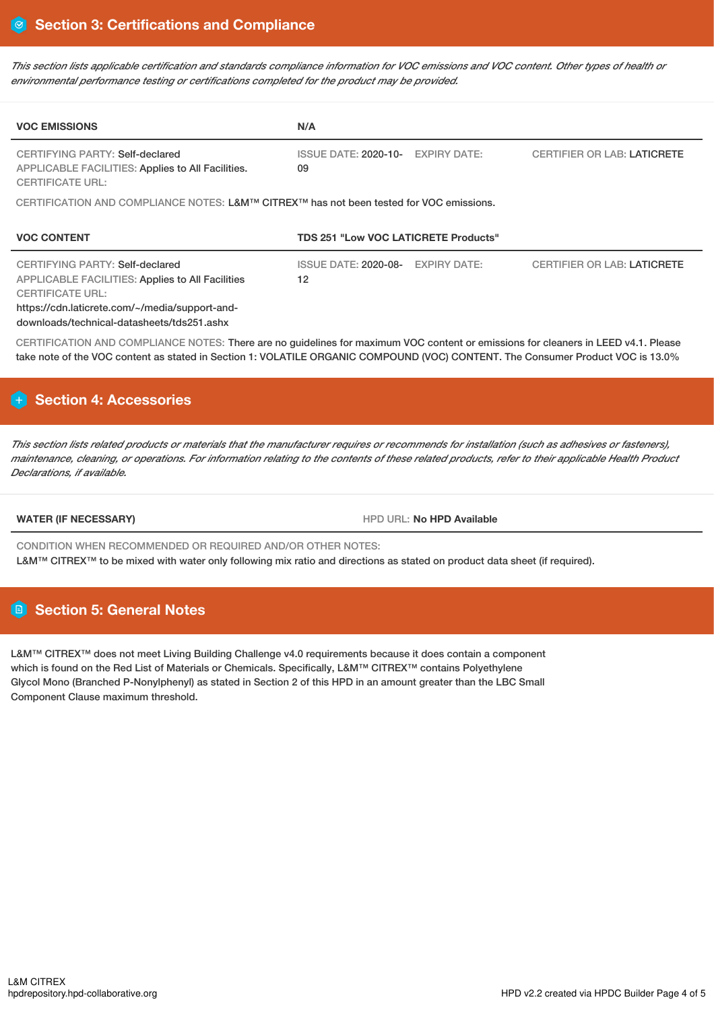This section lists applicable certification and standards compliance information for VOC emissions and VOC content. Other types of health or *environmental performance testing or certifications completed for the product may be provided.*

| <b>VOC EMISSIONS</b>                                                                                                                                                                                                  | N/A                                                      |                                    |  |
|-----------------------------------------------------------------------------------------------------------------------------------------------------------------------------------------------------------------------|----------------------------------------------------------|------------------------------------|--|
| CERTIFYING PARTY: Self-declared<br>APPLICABLE FACILITIES: Applies to All Facilities.<br><b>CERTIFICATE URL:</b>                                                                                                       | <b>EXPIRY DATE:</b><br><b>ISSUE DATE: 2020-10-</b><br>09 | <b>CERTIFIER OR LAB: LATICRETE</b> |  |
| CERTIFICATION AND COMPLIANCE NOTES: L&M™ CITREX™ has not been tested for VOC emissions.                                                                                                                               |                                                          |                                    |  |
| <b>VOC CONTENT</b>                                                                                                                                                                                                    | <b>TDS 251 "Low VOC LATICRETE Products"</b>              |                                    |  |
| CERTIFYING PARTY: Self-declared<br><b>APPLICABLE FACILITIES: Applies to All Facilities</b><br><b>CERTIFICATE URL:</b><br>https://cdn.laticrete.com/~/media/support-and-<br>downloads/technical-datasheets/tds251.ashx | <b>ISSUE DATE: 2020-08-</b><br><b>EXPIRY DATE:</b><br>12 | <b>CERTIFIER OR LAB: LATICRETE</b> |  |
| CERTIFICATION AND COMPLIANCE NOTES: There are no guidelines for maximum VOC content or emissions for cleaners in LEED v4.1. Please                                                                                    |                                                          |                                    |  |

take note of the VOC content as stated in Section 1: VOLATILE ORGANIC COMPOUND (VOC) CONTENT. The Consumer Product VOC is 13.0%

# **Section 4: Accessories**

This section lists related products or materials that the manufacturer requires or recommends for installation (such as adhesives or fasteners), maintenance, cleaning, or operations. For information relating to the contents of these related products, refer to their applicable Health Product *Declarations, if available.*

**WATER (IF NECESSARY)** HPD URL: **No HPD Available**

CONDITION WHEN RECOMMENDED OR REQUIRED AND/OR OTHER NOTES: L&M™ CITREX™ to be mixed with water only following mix ratio and directions as stated on product data sheet (if required).

# **Section 5: General Notes**

L&M™ CITREX™ does not meet Living Building Challenge v4.0 requirements because it does contain a component which is found on the Red List of Materials or Chemicals. Specifically, L&M™ CITREX™ contains Polyethylene Glycol Mono (Branched P-Nonylphenyl) as stated in Section 2 of this HPD in an amount greater than the LBC Small Component Clause maximum threshold.